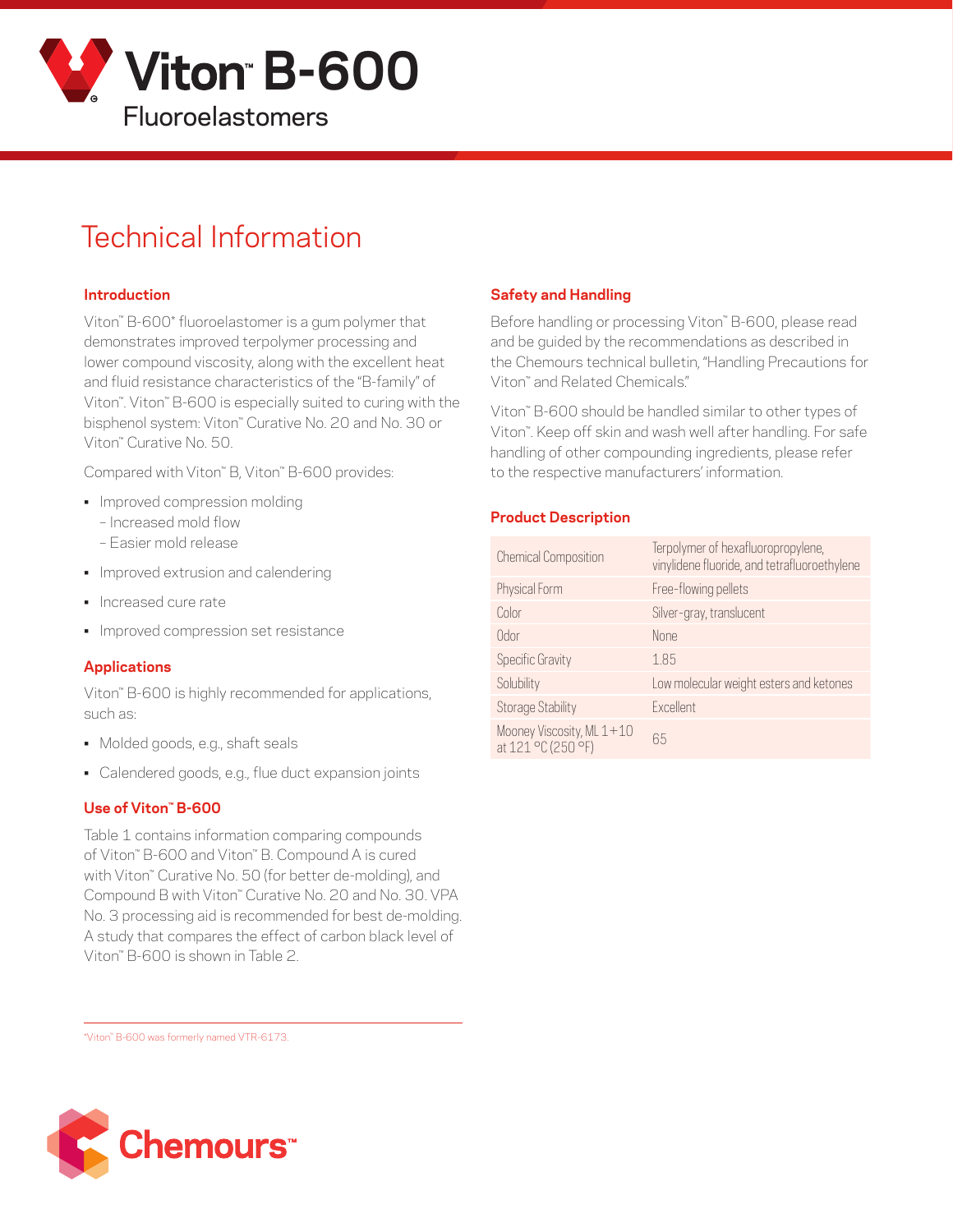

# Technical Information

#### **Introduction**

Viton™ B-600\* fluoroelastomer is a gum polymer that demonstrates improved terpolymer processing and lower compound viscosity, along with the excellent heat and fluid resistance characteristics of the "B-family" of Viton™. Viton™ B-600 is especially suited to curing with the bisphenol system: Viton™ Curative No. 20 and No. 30 or Viton™ Curative No. 50.

Compared with Viton™ B, Viton™ B-600 provides:

- Improved compression molding
	- Increased mold flow
	- Easier mold release
- Improved extrusion and calendering
- Increased cure rate
- Improved compression set resistance

#### **Applications**

Viton™ B-600 is highly recommended for applications, such as:

- Molded goods, e.g., shaft seals
- Calendered goods, e.g., flue duct expansion joints

#### **Use of Viton™ B-600**

Table 1 contains information comparing compounds of Viton™ B-600 and Viton™ B. Compound A is cured with Viton™ Curative No. 50 (for better de-molding), and Compound B with Viton™ Curative No. 20 and No. 30. VPA No. 3 processing aid is recommended for best de-molding. A study that compares the effect of carbon black level of Viton™ B-600 is shown in Table 2.

## **Safety and Handling**

Before handling or processing Viton™ B-600, please read and be guided by the recommendations as described in the Chemours technical bulletin, "Handling Precautions for Viton™ and Related Chemicals."

Viton™ B-600 should be handled similar to other types of Viton™. Keep off skin and wash well after handling. For safe handling of other compounding ingredients, please refer to the respective manufacturers' information.

### **Product Description**

| <b>Chemical Composition</b>                     | Terpolymer of hexafluoropropylene,<br>vinylidene fluoride, and tetrafluoroethylene |
|-------------------------------------------------|------------------------------------------------------------------------------------|
| Physical Form                                   | Free-flowing pellets                                                               |
| Color                                           | Silver-gray, translucent                                                           |
| Odor                                            | None                                                                               |
| <b>Specific Gravity</b>                         | 1.85                                                                               |
| Solubility                                      | Low molecular weight esters and ketones                                            |
| <b>Storage Stability</b>                        | Excellent                                                                          |
| Mooney Viscosity, ML 1+10<br>at 121 °C (250 °F) | 65                                                                                 |

\*Viton™ B-600 was formerly named VTR-6173.

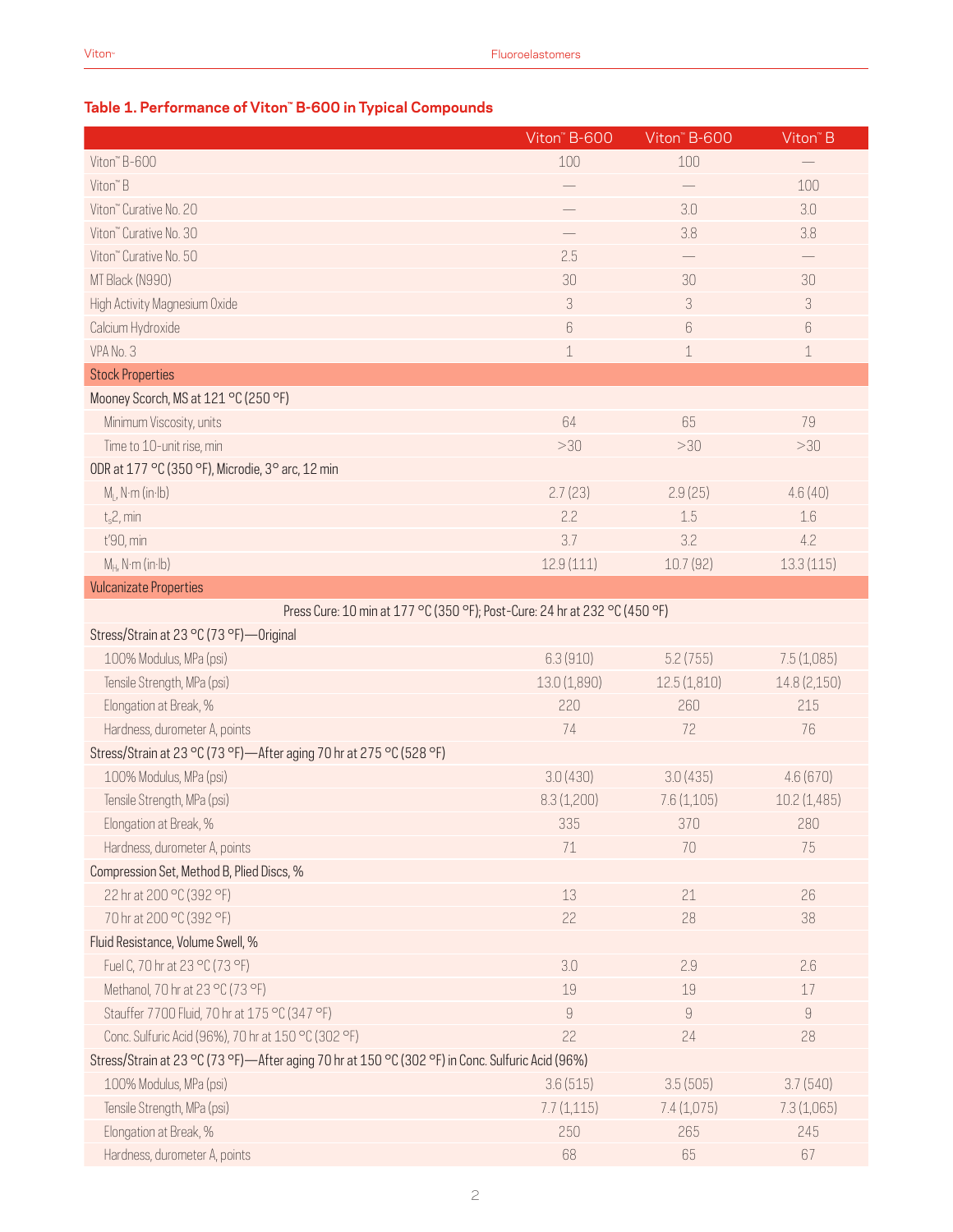## **Table 1. Performance of Viton™ B-600 in Typical Compounds**

|                                                                                                  | Viton" B-600 | Viton" B-600               | $V$ iton" B                |  |
|--------------------------------------------------------------------------------------------------|--------------|----------------------------|----------------------------|--|
| Viton" B-600                                                                                     | 100          | 100                        |                            |  |
| Viton <sup>"</sup> B                                                                             |              |                            | 100                        |  |
| Viton" Curative No. 20                                                                           |              | 3.0                        | 3.0                        |  |
| Viton" Curative No. 30                                                                           |              | 3.8                        | 3.8                        |  |
| Viton" Curative No. 50                                                                           | 2.5          |                            |                            |  |
| MT Black (N990)                                                                                  | 30           | 30                         | 30                         |  |
| High Activity Magnesium Oxide                                                                    | 3            | $\ensuremath{\mathcal{S}}$ | $\ensuremath{\mathcal{S}}$ |  |
| Calcium Hydroxide                                                                                | $6\,$        | 6                          | $\,6$                      |  |
| VPA No. 3                                                                                        | $\,1\,$      | 1                          | $\,1\,$                    |  |
| <b>Stock Properties</b>                                                                          |              |                            |                            |  |
| Mooney Scorch, MS at 121 °C (250 °F)                                                             |              |                            |                            |  |
| Minimum Viscosity, units                                                                         | 64           | 65                         | 79                         |  |
| Time to 10-unit rise, min                                                                        | >30          | >30                        | >30                        |  |
| ODR at 177 °C (350 °F), Microdie, 3° arc, 12 min                                                 |              |                            |                            |  |
| $M1$ , N·m (in·lb)                                                                               | 2.7(23)      | 2.9(25)                    | 4.6(40)                    |  |
| $t_{s}2$ , min                                                                                   | 2.2          | 1.5                        | 1.6                        |  |
| t'90, min                                                                                        | 3.7          | 3.2                        | 4.2                        |  |
| $M_H$ , N·m (in·lb)                                                                              | 12.9(111)    | 10.7(92)                   | 13.3(115)                  |  |
| <b>Vulcanizate Properties</b>                                                                    |              |                            |                            |  |
| Press Cure: 10 min at 177 °C (350 °F); Post-Cure: 24 hr at 232 °C (450 °F)                       |              |                            |                            |  |
| Stress/Strain at 23 °C (73 °F) - Original                                                        |              |                            |                            |  |
| 100% Modulus, MPa (psi)                                                                          | 6.3(910)     | 5.2(755)                   | 7.5(1,085)                 |  |
| Tensile Strength, MPa (psi)                                                                      | 13.0 (1,890) | 12.5(1,810)                | 14.8 (2,150)               |  |
| Elongation at Break, %                                                                           | 220          | 260                        | 215                        |  |
| Hardness, durometer A, points                                                                    | 74           | 72                         | 76                         |  |
| Stress/Strain at 23 °C (73 °F)-After aging 70 hr at 275 °C (528 °F)                              |              |                            |                            |  |
| 100% Modulus, MPa (psi)                                                                          | 3.0(430)     | 3.0(435)                   | 4.6(670)                   |  |
| Tensile Strength, MPa (psi)                                                                      | 8.3(1,200)   | 7.6(1,105)                 | 10.2(1,485)                |  |
| Elongation at Break, %                                                                           | 335          | 370                        | 280                        |  |
| Hardness, durometer A, points                                                                    | 71           | 70                         | 75                         |  |
| Compression Set, Method B, Plied Discs, %                                                        |              |                            |                            |  |
| 22 hr at 200 °C (392 °F)                                                                         | 13           | 21                         | 26                         |  |
| 70 hr at 200 °C (392 °F)                                                                         | 22           | 28                         | 38                         |  |
| Fluid Resistance, Volume Swell, %                                                                |              |                            |                            |  |
| Fuel C, 70 hr at 23 °C (73 °F)                                                                   | 3.0          | 2.9                        | 2.6                        |  |
| Methanol, 70 hr at 23 °C (73 °F)                                                                 | 19           | 19                         | 17                         |  |
| Stauffer 7700 Fluid, 70 hr at 175 °C (347 °F)                                                    | $\hbox{9}$   | 9                          | $\mathcal G$               |  |
| Conc. Sulfuric Acid (96%), 70 hr at 150 °C (302 °F)                                              | 22           | 24                         | 28                         |  |
| Stress/Strain at 23 °C (73 °F)-After aging 70 hr at 150 °C (302 °F) in Conc. Sulfuric Acid (96%) |              |                            |                            |  |
| 100% Modulus, MPa (psi)                                                                          | 3.6(515)     | 3.5(505)                   | 3.7(540)                   |  |
| Tensile Strength, MPa (psi)                                                                      | 7.7(1,115)   | 7.4(1,075)                 | 7.3(1,065)                 |  |
| Elongation at Break, %                                                                           | 250          | 265                        | 245                        |  |
| Hardness, durometer A, points                                                                    | 68           | 65                         | 67                         |  |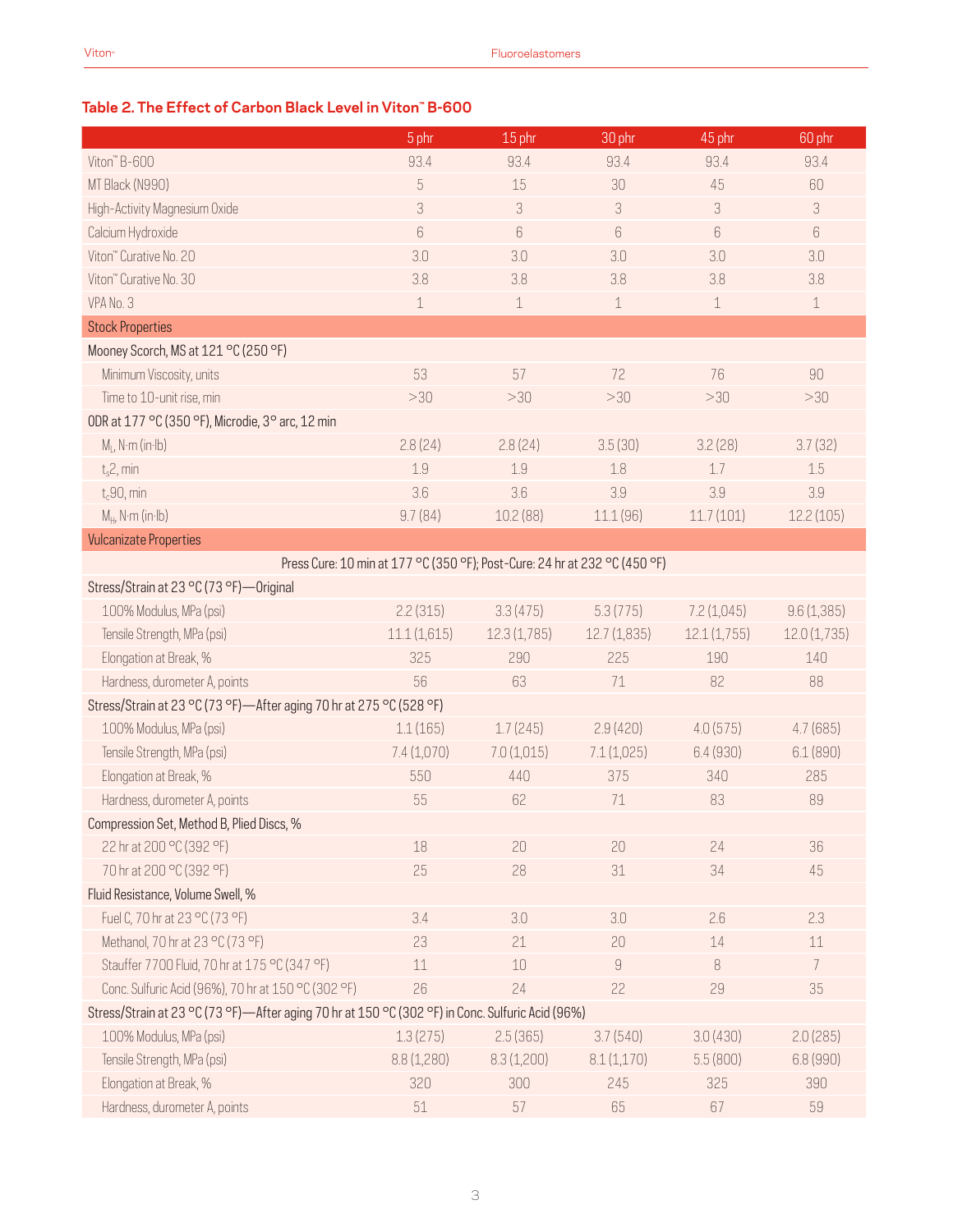## **Table 2. The Effect of Carbon Black Level in Viton™ B-600**

|                                                                                                  | 5 phr            | 15 phr                                                                     | $30$ <sub>phr</sub> | 45 phr                     | 60 phr         |  |
|--------------------------------------------------------------------------------------------------|------------------|----------------------------------------------------------------------------|---------------------|----------------------------|----------------|--|
| Viton" B-600                                                                                     | 93.4             | 93.4                                                                       | 93.4                | 93.4                       | 93.4           |  |
| MT Black (N990)                                                                                  | $\sqrt{5}$       | 15                                                                         | 30                  | 45                         | 60             |  |
| High-Activity Magnesium Oxide                                                                    | 3                | $\sqrt{3}$                                                                 | 3                   | $\ensuremath{\mathcal{S}}$ | 3              |  |
| Calcium Hydroxide                                                                                | $\boldsymbol{6}$ | 6                                                                          | 6                   | 6                          | 6              |  |
| Viton" Curative No. 20                                                                           | 3.0              | 3.0                                                                        | 3.0                 | 3.0                        | 3.0            |  |
| Viton" Curative No. 30                                                                           | 3.8              | 3.8                                                                        | 3.8                 | 3.8                        | 3.8            |  |
| VPA No. 3                                                                                        | $\,1\,$          | $\mathbf 1$                                                                | $\mathbf 1$         | $\mathbf 1$                | $\,1\,$        |  |
| <b>Stock Properties</b>                                                                          |                  |                                                                            |                     |                            |                |  |
| Mooney Scorch, MS at 121 °C (250 °F)                                                             |                  |                                                                            |                     |                            |                |  |
| Minimum Viscosity, units                                                                         | 53               | 57                                                                         | 72                  | 76                         | 90             |  |
| Time to 10-unit rise, min                                                                        | >30              | >30                                                                        | >30                 | >30                        | >30            |  |
| ODR at 177 °C (350 °F), Microdie, 3° arc, 12 min                                                 |                  |                                                                            |                     |                            |                |  |
| $M1$ , N·m (in·lb)                                                                               | 2.8(24)          | 2.8(24)                                                                    | 3.5(30)             | 3.2(28)                    | 3.7(32)        |  |
| $t_s$ 2, min                                                                                     | 1.9              | 1.9                                                                        | 1.8                 | 1.7                        | 1.5            |  |
| $t_c$ 90, min                                                                                    | 3.6              | 3.6                                                                        | 3.9                 | 3.9                        | 3.9            |  |
| $M_H$ , N·m (in·lb)                                                                              | 9.7(84)          | 10.2(88)                                                                   | 11.1(96)            | 11.7(101)                  | 12.2(105)      |  |
| <b>Vulcanizate Properties</b>                                                                    |                  |                                                                            |                     |                            |                |  |
|                                                                                                  |                  | Press Cure: 10 min at 177 °C (350 °F); Post-Cure: 24 hr at 232 °C (450 °F) |                     |                            |                |  |
| Stress/Strain at 23 °C (73 °F) - Original                                                        |                  |                                                                            |                     |                            |                |  |
| 100% Modulus, MPa (psi)                                                                          | 2.2(315)         | 3.3(475)                                                                   | 5.3(775)            | 7.2(1,045)                 | 9.6(1,385)     |  |
| Tensile Strength, MPa (psi)                                                                      | 11.1(1,615)      | 12.3(1,785)                                                                | 12.7 (1,835)        | 12.1(1,755)                | 12.0(1,735)    |  |
| Elongation at Break, %                                                                           | 325              | 290                                                                        | 225                 | 190                        | 140            |  |
| Hardness, durometer A, points                                                                    | 56               | 63                                                                         | 71                  | 82                         | 88             |  |
| Stress/Strain at 23 °C (73 °F)-After aging 70 hr at 275 °C (528 °F)                              |                  |                                                                            |                     |                            |                |  |
| 100% Modulus, MPa (psi)                                                                          | 1.1(165)         | 1.7(245)                                                                   | 2.9(420)            | 4.0(575)                   | 4.7(685)       |  |
| Tensile Strength, MPa (psi)                                                                      | 7.4(1,070)       | 7.0(1,015)                                                                 | 7.1(1,025)          | 6.4(930)                   | 6.1(890)       |  |
| Elongation at Break, %                                                                           | 550              | 440                                                                        | 375                 | 340                        | 285            |  |
| Hardness, durometer A, points                                                                    | 55               | 62                                                                         | 71                  | 83                         | 89             |  |
| Compression Set, Method B, Plied Discs, %                                                        |                  |                                                                            |                     |                            |                |  |
| 22 hr at 200 °C (392 °F)                                                                         | 18               | 20                                                                         | 20                  | 24                         | 36             |  |
| 70 hr at 200 °C (392 °F)                                                                         | 25               | 28                                                                         | $31\,$              | 34                         | 45             |  |
| Fluid Resistance, Volume Swell, %                                                                |                  |                                                                            |                     |                            |                |  |
| Fuel C, 70 hr at 23 °C (73 °F)                                                                   | 3.4              | 3.0                                                                        | 3.0                 | 2.6                        | 2.3            |  |
| Methanol, 70 hr at 23 °C (73 °F)                                                                 | 23               | 21                                                                         | 20                  | 14                         | 11             |  |
| Stauffer 7700 Fluid, 70 hr at 175 °C (347 °F)                                                    | $11\,$           | $10\,$                                                                     | $\hbox{g}$          | $\, 8$                     | $\overline{7}$ |  |
| Conc. Sulfuric Acid (96%), 70 hr at 150 °C (302 °F)                                              | 26               | 24                                                                         | 22                  | 29                         | 35             |  |
| Stress/Strain at 23 °C (73 °F)-After aging 70 hr at 150 °C (302 °F) in Conc. Sulfuric Acid (96%) |                  |                                                                            |                     |                            |                |  |
| 100% Modulus, MPa (psi)                                                                          | 1.3(275)         | 2.5(365)                                                                   | 3.7(540)            | 3.0(430)                   | 2.0(285)       |  |
| Tensile Strength, MPa (psi)                                                                      | 8.8(1,280)       | 8.3(1,200)                                                                 | 8.1(1,170)          | 5.5(800)                   | 6.8(990)       |  |
| Elongation at Break, %                                                                           | 320              | 300                                                                        | 245                 | 325                        | 390            |  |
| Hardness, durometer A, points                                                                    | 51               | 57                                                                         | 65                  | 67                         | 59             |  |